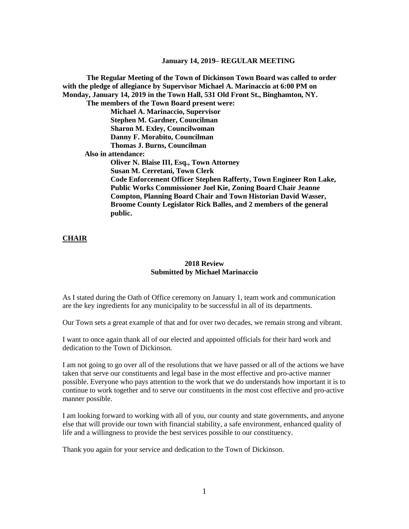**The Regular Meeting of the Town of Dickinson Town Board was called to order with the pledge of allegiance by Supervisor Michael A. Marinaccio at 6:00 PM on Monday, January 14, 2019 in the Town Hall, 531 Old Front St., Binghamton, NY. The members of the Town Board present were: Michael A. Marinaccio, Supervisor Stephen M. Gardner, Councilman Sharon M. Exley, Councilwoman Danny F. Morabito, Councilman Thomas J. Burns, Councilman Also in attendance: Oliver N. Blaise III, Esq., Town Attorney Susan M. Cerretani, Town Clerk Code Enforcement Officer Stephen Rafferty, Town Engineer Ron Lake, Public Works Commissioner Joel Kie, Zoning Board Chair Jeanne Compton, Planning Board Chair and Town Historian David Wasser, Broome County Legislator Rick Balles, and 2 members of the general public.**

### **CHAIR**

# **2018 Review Submitted by Michael Marinaccio**

As I stated during the Oath of Office ceremony on January 1, team work and communication are the key ingredients for any municipality to be successful in all of its departments.

Our Town sets a great example of that and for over two decades, we remain strong and vibrant.

I want to once again thank all of our elected and appointed officials for their hard work and dedication to the Town of Dickinson.

I am not going to go over all of the resolutions that we have passed or all of the actions we have taken that serve our constituents and legal base in the most effective and pro-active manner possible. Everyone who pays attention to the work that we do understands how important it is to continue to work together and to serve our constituents in the most cost effective and pro-active manner possible.

I am looking forward to working with all of you, our county and state governments, and anyone else that will provide our town with financial stability, a safe environment, enhanced quality of life and a willingness to provide the best services possible to our constituency.

Thank you again for your service and dedication to the Town of Dickinson.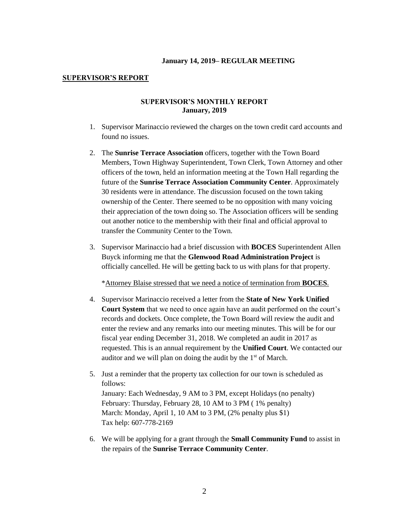### **SUPERVISOR'S REPORT**

### **SUPERVISOR'S MONTHLY REPORT January, 2019**

- 1. Supervisor Marinaccio reviewed the charges on the town credit card accounts and found no issues.
- 2. The **Sunrise Terrace Association** officers, together with the Town Board Members, Town Highway Superintendent, Town Clerk, Town Attorney and other officers of the town, held an information meeting at the Town Hall regarding the future of the **Sunrise Terrace Association Community Center**. Approximately 30 residents were in attendance. The discussion focused on the town taking ownership of the Center. There seemed to be no opposition with many voicing their appreciation of the town doing so. The Association officers will be sending out another notice to the membership with their final and official approval to transfer the Community Center to the Town.
- 3. Supervisor Marinaccio had a brief discussion with **BOCES** Superintendent Allen Buyck informing me that the **Glenwood Road Administration Project** is officially cancelled. He will be getting back to us with plans for that property.

\*Attorney Blaise stressed that we need a notice of termination from **BOCES**.

- 4. Supervisor Marinaccio received a letter from the **State of New York Unified Court System** that we need to once again have an audit performed on the court's records and dockets. Once complete, the Town Board will review the audit and enter the review and any remarks into our meeting minutes. This will be for our fiscal year ending December 31, 2018. We completed an audit in 2017 as requested. This is an annual requirement by the **Unified Court**. We contacted our auditor and we will plan on doing the audit by the  $1<sup>st</sup>$  of March.
- 5. Just a reminder that the property tax collection for our town is scheduled as follows: January: Each Wednesday, 9 AM to 3 PM, except Holidays (no penalty) February: Thursday, February 28, 10 AM to 3 PM ( 1% penalty) March: Monday, April 1, 10 AM to 3 PM, (2% penalty plus \$1) Tax help: 607-778-2169
- 6. We will be applying for a grant through the **Small Community Fund** to assist in the repairs of the **Sunrise Terrace Community Center**.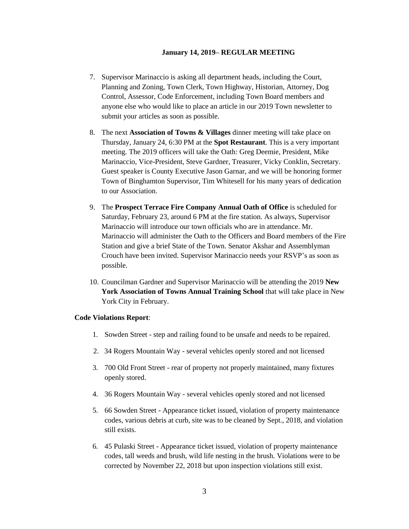- 7. Supervisor Marinaccio is asking all department heads, including the Court, Planning and Zoning, Town Clerk, Town Highway, Historian, Attorney, Dog Control, Assessor, Code Enforcement, including Town Board members and anyone else who would like to place an article in our 2019 Town newsletter to submit your articles as soon as possible.
- 8. The next **Association of Towns & Villages** dinner meeting will take place on Thursday, January 24, 6:30 PM at the **Spot Restaurant**. This is a very important meeting. The 2019 officers will take the Oath: Greg Deemie, President, Mike Marinaccio, Vice-President, Steve Gardner, Treasurer, Vicky Conklin, Secretary. Guest speaker is County Executive Jason Garnar, and we will be honoring former Town of Binghamton Supervisor, Tim Whitesell for his many years of dedication to our Association.
- 9. The **Prospect Terrace Fire Company Annual Oath of Office** is scheduled for Saturday, February 23, around 6 PM at the fire station. As always, Supervisor Marinaccio will introduce our town officials who are in attendance. Mr. Marinaccio will administer the Oath to the Officers and Board members of the Fire Station and give a brief State of the Town. Senator Akshar and Assemblyman Crouch have been invited. Supervisor Marinaccio needs your RSVP's as soon as possible.
- 10. Councilman Gardner and Supervisor Marinaccio will be attending the 2019 **New York Association of Towns Annual Training School** that will take place in New York City in February.

### **Code Violations Report**:

- 1. Sowden Street step and railing found to be unsafe and needs to be repaired.
- 2. 34 Rogers Mountain Way several vehicles openly stored and not licensed
- 3. 700 Old Front Street rear of property not properly maintained, many fixtures openly stored.
- 4. 36 Rogers Mountain Way several vehicles openly stored and not licensed
- 5. 66 Sowden Street Appearance ticket issued, violation of property maintenance codes, various debris at curb, site was to be cleaned by Sept., 2018, and violation still exists.
- 6. 45 Pulaski Street Appearance ticket issued, violation of property maintenance codes, tall weeds and brush, wild life nesting in the brush. Violations were to be corrected by November 22, 2018 but upon inspection violations still exist.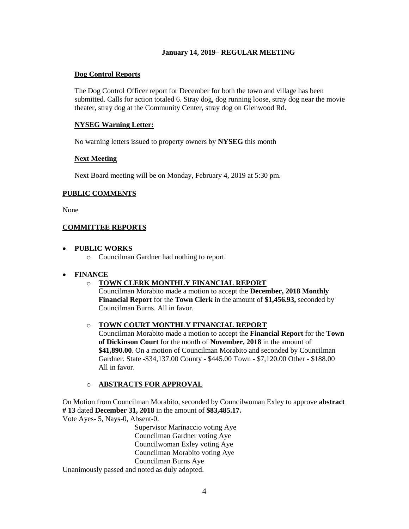## **Dog Control Reports**

The Dog Control Officer report for December for both the town and village has been submitted. Calls for action totaled 6. Stray dog, dog running loose, stray dog near the movie theater, stray dog at the Community Center, stray dog on Glenwood Rd.

# **NYSEG Warning Letter:**

No warning letters issued to property owners by **NYSEG** this month

# **Next Meeting**

Next Board meeting will be on Monday, February 4, 2019 at 5:30 pm.

# **PUBLIC COMMENTS**

None

# **COMMITTEE REPORTS**

## **PUBLIC WORKS**

o Councilman Gardner had nothing to report.

# **FINANCE**

# o **TOWN CLERK MONTHLY FINANCIAL REPORT**

Councilman Morabito made a motion to accept the **December, 2018 Monthly Financial Report** for the **Town Clerk** in the amount of **\$1,456.93,** seconded by Councilman Burns. All in favor.

# o **TOWN COURT MONTHLY FINANCIAL REPORT**

Councilman Morabito made a motion to accept the **Financial Report** for the **Town of Dickinson Court** for the month of **November, 2018** in the amount of **\$41,890.00**. On a motion of Councilman Morabito and seconded by Councilman Gardner. State -\$34,137.00 County - \$445.00 Town - \$7,120.00 Other - \$188.00 All in favor.

# o **ABSTRACTS FOR APPROVAL**

On Motion from Councilman Morabito, seconded by Councilwoman Exley to approve **abstract # 13** dated **December 31, 2018** in the amount of **\$83,485.17.** Vote Ayes- 5, Nays-0, Absent-0.

> Supervisor Marinaccio voting Aye Councilman Gardner voting Aye Councilwoman Exley voting Aye Councilman Morabito voting Aye Councilman Burns Aye

Unanimously passed and noted as duly adopted.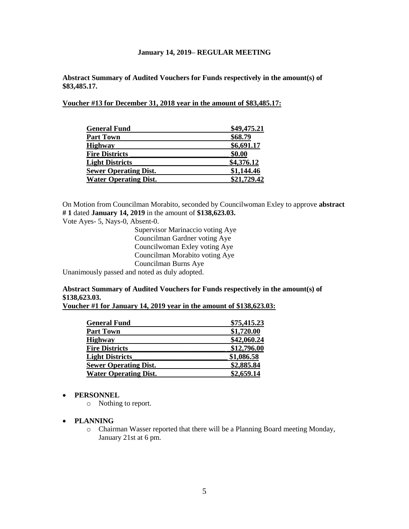**Abstract Summary of Audited Vouchers for Funds respectively in the amount(s) of \$83,485.17.** 

**Voucher #13 for December 31, 2018 year in the amount of \$83,485.17:** 

| <b>General Fund</b>          | \$49,475.21 |
|------------------------------|-------------|
| <b>Part Town</b>             | \$68.79     |
| <b>Highway</b>               | \$6,691.17  |
| <b>Fire Districts</b>        | \$0.00      |
| <b>Light Districts</b>       | \$4,376.12  |
| <b>Sewer Operating Dist.</b> | \$1,144.46  |
| <b>Water Operating Dist.</b> | \$21,729.42 |

On Motion from Councilman Morabito, seconded by Councilwoman Exley to approve **abstract # 1** dated **January 14, 2019** in the amount of **\$138,623.03.**

Vote Ayes- 5, Nays-0, Absent-0.

Supervisor Marinaccio voting Aye Councilman Gardner voting Aye Councilwoman Exley voting Aye Councilman Morabito voting Aye Councilman Burns Aye

Unanimously passed and noted as duly adopted.

# **Abstract Summary of Audited Vouchers for Funds respectively in the amount(s) of \$138,623.03.**

**Voucher #1 for January 14, 2019 year in the amount of \$138,623.03:** 

| <b>General Fund</b>          | \$75,415.23 |
|------------------------------|-------------|
| <b>Part Town</b>             | \$1,720.00  |
| <b>Highway</b>               | \$42,060.24 |
| <b>Fire Districts</b>        | \$12,796.00 |
| <b>Light Districts</b>       | \$1,086.58  |
| <b>Sewer Operating Dist.</b> | \$2,885.84  |
| <b>Water Operating Dist.</b> | \$2,659.14  |

### **PERSONNEL**

o Nothing to report.

### **PLANNING**

o Chairman Wasser reported that there will be a Planning Board meeting Monday, January 21st at 6 pm.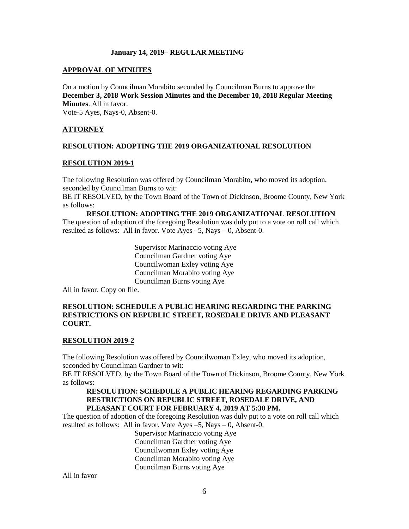### **APPROVAL OF MINUTES**

On a motion by Councilman Morabito seconded by Councilman Burns to approve the **December 3, 2018 Work Session Minutes and the December 10, 2018 Regular Meeting Minutes**. All in favor.

Vote-5 Ayes, Nays-0, Absent-0.

## **ATTORNEY**

## **RESOLUTION: ADOPTING THE 2019 ORGANIZATIONAL RESOLUTION**

### **RESOLUTION 2019-1**

The following Resolution was offered by Councilman Morabito, who moved its adoption, seconded by Councilman Burns to wit:

BE IT RESOLVED, by the Town Board of the Town of Dickinson, Broome County, New York as follows:

**RESOLUTION: ADOPTING THE 2019 ORGANIZATIONAL RESOLUTION** The question of adoption of the foregoing Resolution was duly put to a vote on roll call which resulted as follows: All in favor. Vote Ayes  $-5$ , Nays  $-0$ , Absent-0.

> Supervisor Marinaccio voting Aye Councilman Gardner voting Aye Councilwoman Exley voting Aye Councilman Morabito voting Aye Councilman Burns voting Aye

All in favor. Copy on file.

# **RESOLUTION: SCHEDULE A PUBLIC HEARING REGARDING THE PARKING RESTRICTIONS ON REPUBLIC STREET, ROSEDALE DRIVE AND PLEASANT COURT.**

### **RESOLUTION 2019-2**

The following Resolution was offered by Councilwoman Exley, who moved its adoption, seconded by Councilman Gardner to wit:

BE IT RESOLVED, by the Town Board of the Town of Dickinson, Broome County, New York as follows:

## **RESOLUTION: SCHEDULE A PUBLIC HEARING REGARDING PARKING RESTRICTIONS ON REPUBLIC STREET, ROSEDALE DRIVE, AND PLEASANT COURT FOR FEBRUARY 4, 2019 AT 5:30 PM.**

The question of adoption of the foregoing Resolution was duly put to a vote on roll call which resulted as follows: All in favor. Vote Ayes  $-5$ , Nays  $-0$ , Absent-0.

> Supervisor Marinaccio voting Aye Councilman Gardner voting Aye Councilwoman Exley voting Aye Councilman Morabito voting Aye Councilman Burns voting Aye

All in favor